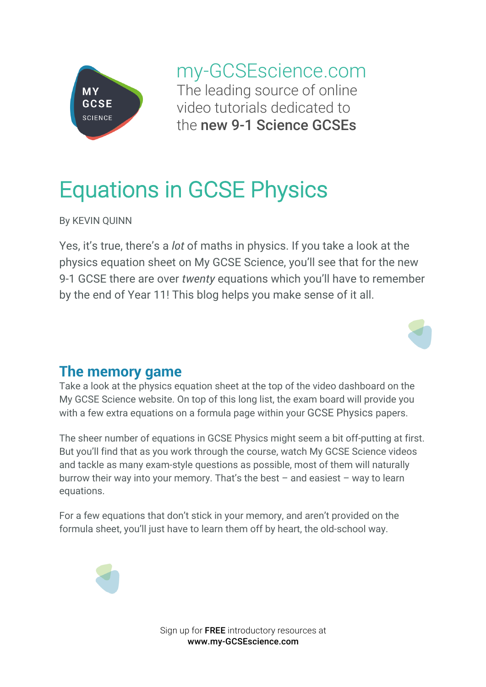

my-GCSEscience.com The leading source of online video tutorials dedicated to the new 9-1 Science GCSEs

# Equations in GCSE Physics

By KEVIN QUINN

Yes, it's true, there's a *lot* of maths in physics. If you take a look at the physics equation sheet on My GCSE Science, you'll see that for the new 9-1 GCSE there are over *twenty* equations which you'll have to remember by the end of Year 11! This blog helps you make sense of it all.



### **The memory game**

Take a look at the physics equation sheet at the top of the video dashboard on the My GCSE Science website. On top of this long list, the exam board will provide you with a few extra equations on a formula page within your GCSE Physics papers.

The sheer number of equations in GCSE Physics might seem a bit off-putting at first. But you'll find that as you work through the course, watch My GCSE Science videos and tackle as many exam-style questions as possible, most of them will naturally burrow their way into your memory. That's the best  $-$  and easiest  $-$  way to learn equations.

For a few equations that don't stick in your memory, and aren't provided on the formula sheet, you'll just have to learn them off by heart, the old-school way.



Sign up for FREE introductory resources at www.my-GCSEscience.com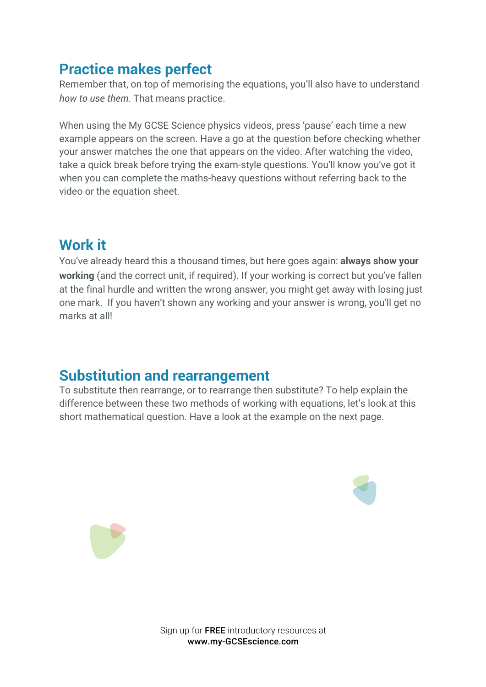## **Practice makes perfect**

Remember that, on top of memorising the equations, you'll also have to understand *how to use them*. That means practice.

When using the My GCSE Science physics videos, press 'pause' each time a new example appears on the screen. Have a go at the question before checking whether your answer matches the one that appears on the video. After watching the video, take a quick break before trying the exam-style questions. You'll know you've got it when you can complete the maths-heavy questions without referring back to the video or the equation sheet.

## **Work it**

You've already heard this a thousand times, but here goes again: **always show your working** (and the correct unit, if required). If your working is correct but you've fallen at the final hurdle and written the wrong answer, you might get away with losing just one mark. If you haven't shown any working and your answer is wrong, you'll get no marks at all!

## **Substitution and rearrangement**

To substitute then rearrange, or to rearrange then substitute? To help explain the difference between these two methods of working with equations, let's look at this short mathematical question. Have a look at the example on the next page.





Sign up for FREE introductory resources at www.my-GCSEscience.com